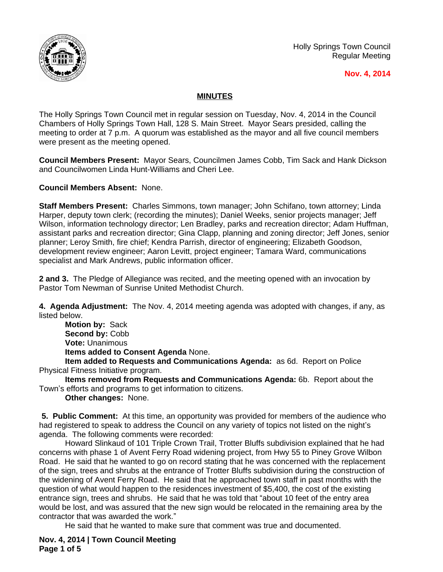

Holly Springs Town Council Regular Meeting

## **Nov. 4, 2014**

## **MINUTES**

The Holly Springs Town Council met in regular session on Tuesday, Nov. 4, 2014 in the Council Chambers of Holly Springs Town Hall, 128 S. Main Street. Mayor Sears presided, calling the meeting to order at 7 p.m. A quorum was established as the mayor and all five council members were present as the meeting opened.

**Council Members Present:** Mayor Sears, Councilmen James Cobb, Tim Sack and Hank Dickson and Councilwomen Linda Hunt-Williams and Cheri Lee.

**Council Members Absent:** None.

**Staff Members Present:** Charles Simmons, town manager; John Schifano, town attorney; Linda Harper, deputy town clerk; (recording the minutes); Daniel Weeks, senior projects manager; Jeff Wilson, information technology director; Len Bradley, parks and recreation director; Adam Huffman, assistant parks and recreation director; Gina Clapp, planning and zoning director; Jeff Jones, senior planner; Leroy Smith, fire chief; Kendra Parrish, director of engineering; Elizabeth Goodson, development review engineer; Aaron Levitt, project engineer; Tamara Ward, communications specialist and Mark Andrews, public information officer.

**2 and 3.** The Pledge of Allegiance was recited, and the meeting opened with an invocation by Pastor Tom Newman of Sunrise United Methodist Church.

**4. Agenda Adjustment:** The Nov. 4, 2014 meeting agenda was adopted with changes, if any, as listed below.

**Motion by:** Sack Second by: Cobb **Vote:** Unanimous **Items added to Consent Agenda** None.

**Item added to Requests and Communications Agenda:** as 6d. Report on Police Physical Fitness Initiative program.

**Items removed from Requests and Communications Agenda:** 6b.Report about the Town's efforts and programs to get information to citizens.

**Other changes:** None.

**5. Public Comment:** At this time, an opportunity was provided for members of the audience who had registered to speak to address the Council on any variety of topics not listed on the night's agenda. The following comments were recorded:

Howard Slinkaud of 101 Triple Crown Trail, Trotter Bluffs subdivision explained that he had concerns with phase 1 of Avent Ferry Road widening project, from Hwy 55 to Piney Grove Wilbon Road. He said that he wanted to go on record stating that he was concerned with the replacement of the sign, trees and shrubs at the entrance of Trotter Bluffs subdivision during the construction of the widening of Avent Ferry Road. He said that he approached town staff in past months with the question of what would happen to the residences investment of \$5,400, the cost of the existing entrance sign, trees and shrubs. He said that he was told that "about 10 feet of the entry area would be lost, and was assured that the new sign would be relocated in the remaining area by the contractor that was awarded the work."

He said that he wanted to make sure that comment was true and documented.

**Nov. 4, 2014 | Town Council Meeting Page 1 of 5**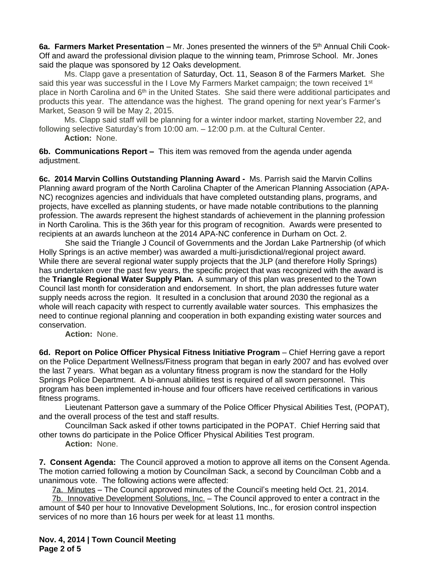**6a. Farmers Market Presentation –** Mr. Jones presented the winners of the 5th Annual Chili Cook-Off and award the professional division plaque to the winning team, Primrose School. Mr. Jones said the plaque was sponsored by 12 Oaks development.

Ms. Clapp gave a presentation of Saturday, Oct. 11, Season 8 of the Farmers Market. She said this year was successful in the I Love My Farmers Market campaign; the town received 1<sup>st</sup> place in North Carolina and 6<sup>th</sup> in the United States. She said there were additional participates and products this year. The attendance was the highest. The grand opening for next year's Farmer's Market, Season 9 will be May 2, 2015.

Ms. Clapp said staff will be planning for a winter indoor market, starting November 22, and following selective Saturday's from 10:00 am. – 12:00 p.m. at the Cultural Center.

**Action:** None.

**6b. Communications Report –** This item was removed from the agenda under agenda adjustment.

**6c. 2014 Marvin Collins Outstanding Planning Award -** Ms. Parrish said the Marvin Collins Planning award program of the North Carolina Chapter of the American Planning Association (APA-NC) recognizes agencies and individuals that have completed outstanding plans, programs, and projects, have excelled as planning students, or have made notable contributions to the planning profession. The awards represent the highest standards of achievement in the planning profession in North Carolina. This is the 36th year for this program of recognition. Awards were presented to recipients at an awards luncheon at the 2014 APA-NC conference in Durham on Oct. 2.

She said the Triangle J Council of Governments and the Jordan Lake Partnership (of which Holly Springs is an active member) was awarded a multi-jurisdictional/regional project award. While there are several regional water supply projects that the JLP (and therefore Holly Springs) has undertaken over the past few years, the specific project that was recognized with the award is the **Triangle Regional Water Supply Plan.** A summary of this plan was presented to the Town Council last month for consideration and endorsement. In short, the plan addresses future water supply needs across the region. It resulted in a conclusion that around 2030 the regional as a whole will reach capacity with respect to currently available water sources. This emphasizes the need to continue regional planning and cooperation in both expanding existing water sources and conservation.

**Action:** None.

**6d. Report on Police Officer Physical Fitness Initiative Program** – Chief Herring gave a report on the Police Department Wellness/Fitness program that began in early 2007 and has evolved over the last 7 years. What began as a voluntary fitness program is now the standard for the Holly Springs Police Department. A bi-annual abilities test is required of all sworn personnel. This program has been implemented in-house and four officers have received certifications in various fitness programs.

Lieutenant Patterson gave a summary of the Police Officer Physical Abilities Test, (POPAT), and the overall process of the test and staff results.

Councilman Sack asked if other towns participated in the POPAT. Chief Herring said that other towns do participate in the Police Officer Physical Abilities Test program.

**Action:** None.

**7. Consent Agenda:** The Council approved a motion to approve all items on the Consent Agenda. The motion carried following a motion by Councilman Sack, a second by Councilman Cobb and a unanimous vote. The following actions were affected:

7a. Minutes – The Council approved minutes of the Council's meeting held Oct. 21, 2014.

7b. Innovative Development Solutions, Inc. – The Council approved to enter a contract in the amount of \$40 per hour to Innovative Development Solutions, Inc., for erosion control inspection services of no more than 16 hours per week for at least 11 months.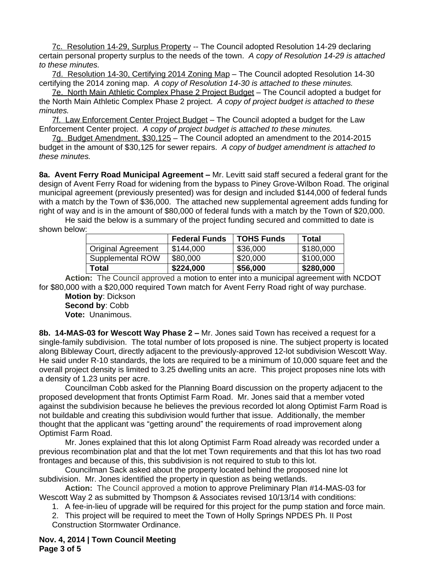7c. Resolution 14-29, Surplus Property -- The Council adopted Resolution 14-29 declaring certain personal property surplus to the needs of the town. *A copy of Resolution 14-29 is attached to these minutes.*

7d. Resolution 14-30, Certifying 2014 Zoning Map – The Council adopted Resolution 14-30 certifying the 2014 zoning map.*A copy of Resolution 14-30 is attached to these minutes.*

7e. North Main Athletic Complex Phase 2 Project Budget – The Council adopted a budget for the North Main Athletic Complex Phase 2 project. *A copy of project budget is attached to these minutes.*

7f. Law Enforcement Center Project Budget – The Council adopted a budget for the Law Enforcement Center project. *A copy of project budget is attached to these minutes.*

7g. Budget Amendment, \$30,125 – The Council adopted an amendment to the 2014-2015 budget in the amount of \$30,125 for sewer repairs. *A copy of budget amendment is attached to these minutes.*

**8a. Avent Ferry Road Municipal Agreement –** Mr. Levitt said staff secured a federal grant for the design of Avent Ferry Road for widening from the bypass to Piney Grove-Wilbon Road. The original municipal agreement (previously presented) was for design and included \$144,000 of federal funds with a match by the Town of \$36,000. The attached new supplemental agreement adds funding for right of way and is in the amount of \$80,000 of federal funds with a match by the Town of \$20,000.

He said the below is a summary of the project funding secured and committed to date is shown below:

|                           | <b>Federal Funds</b> | <b>TOHS Funds</b> | Total     |
|---------------------------|----------------------|-------------------|-----------|
| <b>Original Agreement</b> | \$144,000            | \$36,000          | \$180,000 |
| Supplemental ROW          | \$80,000             | \$20,000          | \$100,000 |
| Total                     | \$224,000            | \$56,000          | \$280,000 |

**Action:** The Council approved a motion to enter into a municipal agreement with NCDOT for \$80,000 with a \$20,000 required Town match for Avent Ferry Road right of way purchase.

**Motion by**: Dickson **Second by**: Cobb **Vote:** Unanimous.

**8b. 14-MAS-03 for Wescott Way Phase 2 –** Mr. Jones said Town has received a request for a single-family subdivision. The total number of lots proposed is nine. The subject property is located along Bibleway Court, directly adjacent to the previously-approved 12-lot subdivision Wescott Way. He said under R-10 standards, the lots are required to be a minimum of 10,000 square feet and the overall project density is limited to 3.25 dwelling units an acre. This project proposes nine lots with a density of 1.23 units per acre.

Councilman Cobb asked for the Planning Board discussion on the property adjacent to the proposed development that fronts Optimist Farm Road. Mr. Jones said that a member voted against the subdivision because he believes the previous recorded lot along Optimist Farm Road is not buildable and creating this subdivision would further that issue. Additionally, the member thought that the applicant was "getting around" the requirements of road improvement along Optimist Farm Road.

Mr. Jones explained that this lot along Optimist Farm Road already was recorded under a previous recombination plat and that the lot met Town requirements and that this lot has two road frontages and because of this, this subdivision is not required to stub to this lot.

Councilman Sack asked about the property located behind the proposed nine lot subdivision. Mr. Jones identified the property in question as being wetlands.

**Action:** The Council approved a motion to approve Preliminary Plan #14-MAS-03 for Wescott Way 2 as submitted by Thompson & Associates revised 10/13/14 with conditions:

1. A fee-in-lieu of upgrade will be required for this project for the pump station and force main.

2. This project will be required to meet the Town of Holly Springs NPDES Ph. II Post Construction Stormwater Ordinance.

**Nov. 4, 2014 | Town Council Meeting Page 3 of 5**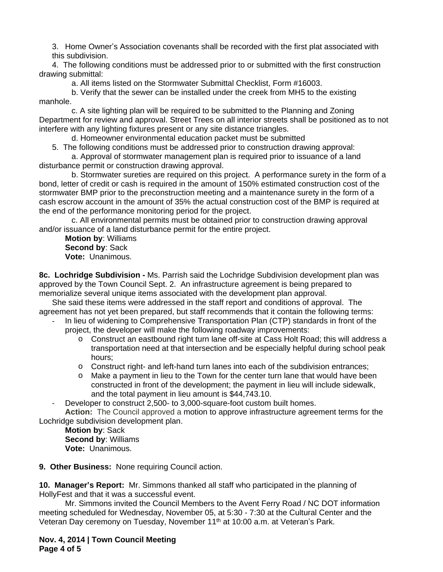3. Home Owner's Association covenants shall be recorded with the first plat associated with this subdivision.

4. The following conditions must be addressed prior to or submitted with the first construction drawing submittal:

a. All items listed on the Stormwater Submittal Checklist, Form #16003.

b. Verify that the sewer can be installed under the creek from MH5 to the existing manhole.

c. A site lighting plan will be required to be submitted to the Planning and Zoning Department for review and approval. Street Trees on all interior streets shall be positioned as to not interfere with any lighting fixtures present or any site distance triangles.

d. Homeowner environmental education packet must be submitted

5. The following conditions must be addressed prior to construction drawing approval:

a. Approval of stormwater management plan is required prior to issuance of a land disturbance permit or construction drawing approval.

b. Stormwater sureties are required on this project. A performance surety in the form of a bond, letter of credit or cash is required in the amount of 150% estimated construction cost of the stormwater BMP prior to the preconstruction meeting and a maintenance surety in the form of a cash escrow account in the amount of 35% the actual construction cost of the BMP is required at the end of the performance monitoring period for the project.

c. All environmental permits must be obtained prior to construction drawing approval and/or issuance of a land disturbance permit for the entire project.

**Motion by**: Williams **Second by**: Sack **Vote:** Unanimous.

**8c. Lochridge Subdivision -** Ms. Parrish said the Lochridge Subdivision development plan was approved by the Town Council Sept. 2. An infrastructure agreement is being prepared to memorialize several unique items associated with the development plan approval.

She said these items were addressed in the staff report and conditions of approval. The agreement has not yet been prepared, but staff recommends that it contain the following terms:

- In lieu of widening to Comprehensive Transportation Plan (CTP) standards in front of the project, the developer will make the following roadway improvements:
	- o Construct an eastbound right turn lane off-site at Cass Holt Road; this will address a transportation need at that intersection and be especially helpful during school peak hours;
	- o Construct right- and left-hand turn lanes into each of the subdivision entrances;
	- o Make a payment in lieu to the Town for the center turn lane that would have been constructed in front of the development; the payment in lieu will include sidewalk, and the total payment in lieu amount is \$44,743.10.
	- Developer to construct 2,500- to 3,000-square-foot custom built homes.

**Action:** The Council approved a motion to approve infrastructure agreement terms for the Lochridge subdivision development plan.

**Motion by**: Sack **Second by**: Williams **Vote:** Unanimous.

**9. Other Business:** None requiring Council action.

**10. Manager's Report:** Mr. Simmons thanked all staff who participated in the planning of HollyFest and that it was a successful event.

Mr. Simmons invited the Council Members to the Avent Ferry Road / NC DOT information meeting scheduled for Wednesday, November 05, at 5:30 - 7:30 at the Cultural Center and the Veteran Day ceremony on Tuesday, November 11<sup>th</sup> at 10:00 a.m. at Veteran's Park.

**Nov. 4, 2014 | Town Council Meeting Page 4 of 5**